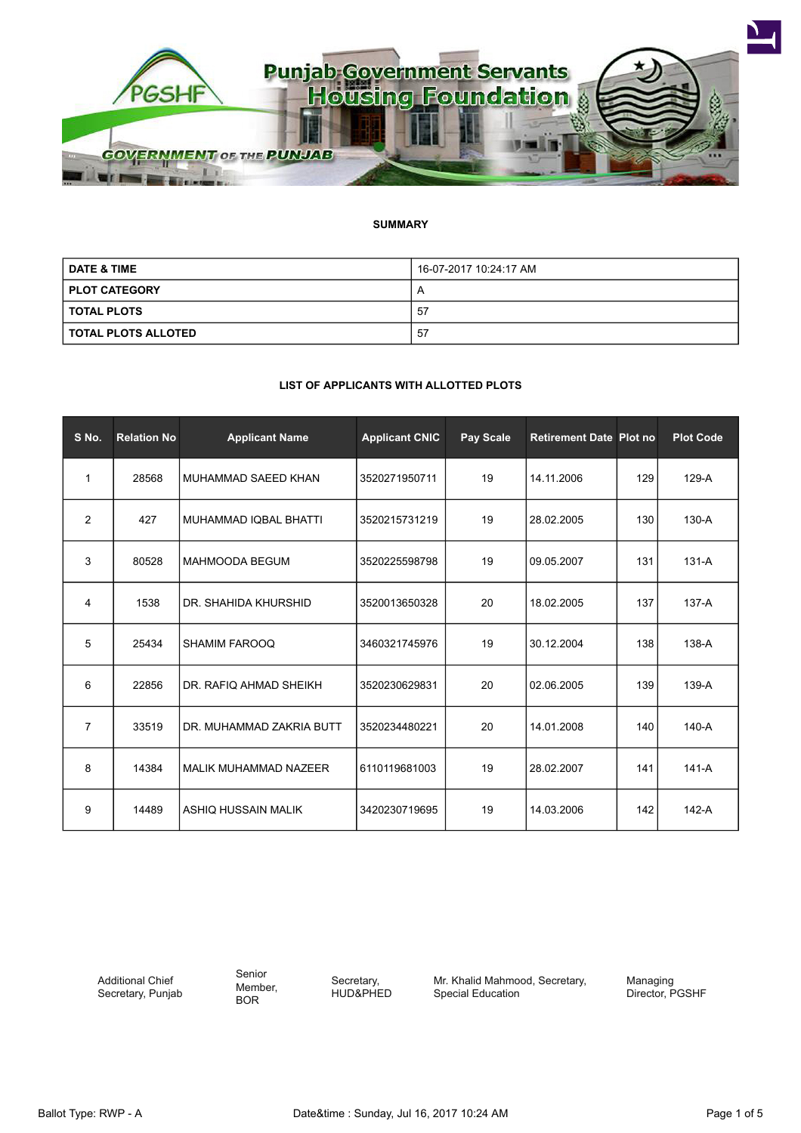

# **SUMMARY**

| <b>DATE &amp; TIME</b> | 16-07-2017 10:24:17 AM |
|------------------------|------------------------|
| <b>PLOT CATEGORY</b>   |                        |
| I TOTAL PLOTS          | -57                    |
| I TOTAL PLOTS ALLOTED  | 57                     |

## **LIST OF APPLICANTS WITH ALLOTTED PLOTS**

| S No.          | <b>Relation No</b> | <b>Applicant Name</b>    | <b>Applicant CNIC</b> | Pay Scale | <b>Retirement Date Plot no</b> |     | <b>Plot Code</b> |
|----------------|--------------------|--------------------------|-----------------------|-----------|--------------------------------|-----|------------------|
| $\mathbf{1}$   | 28568              | MUHAMMAD SAEED KHAN      | 3520271950711         | 19        | 14.11.2006                     | 129 | $129-A$          |
| $\overline{2}$ | 427                | MUHAMMAD IQBAL BHATTI    | 3520215731219         | 19        | 28.02.2005                     | 130 | $130-A$          |
| 3              | 80528              | <b>MAHMOODA BEGUM</b>    | 3520225598798         | 19        | 09.05.2007                     | 131 | $131-A$          |
| 4              | 1538               | DR. SHAHIDA KHURSHID     | 3520013650328         | 20        | 18.02.2005                     | 137 | $137-A$          |
| 5              | 25434              | <b>SHAMIM FAROOQ</b>     | 3460321745976         | 19        | 30.12.2004                     | 138 | 138-A            |
| 6              | 22856              | DR. RAFIQ AHMAD SHEIKH   | 3520230629831         | 20        | 02.06.2005                     | 139 | 139-A            |
| $\overline{7}$ | 33519              | DR. MUHAMMAD ZAKRIA BUTT | 3520234480221         | 20        | 14.01.2008                     | 140 | 140-A            |
| 8              | 14384              | MALIK MUHAMMAD NAZEER    | 6110119681003         | 19        | 28.02.2007                     | 141 | $141-A$          |
| 9              | 14489              | ASHIQ HUSSAIN MALIK      | 3420230719695         | 19        | 14.03.2006                     | 142 | $142-A$          |

Additional Chief Secretary, Punjab Senior Member, BOR

Secretary, HUD&PHED Mr. Khalid Mahmood, Secretary, Special Education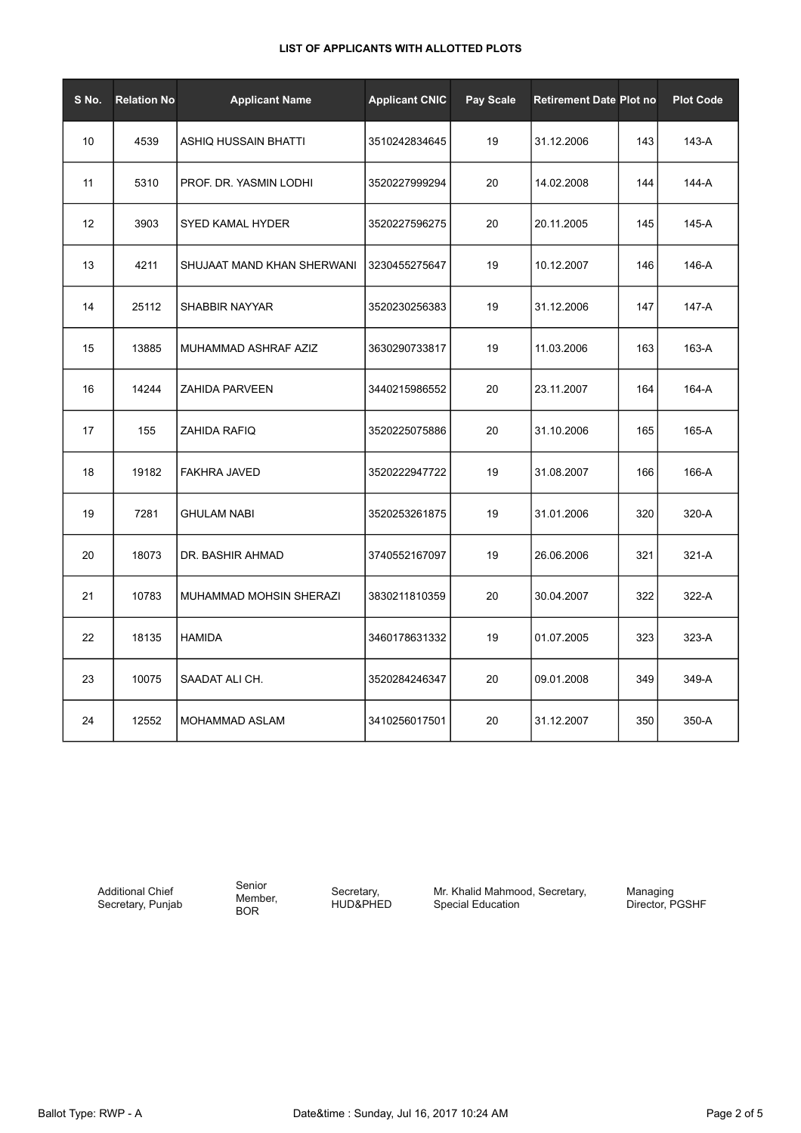| S No. | <b>Relation No</b> | <b>Applicant Name</b>       | <b>Applicant CNIC</b> | Pay Scale | <b>Retirement Date Plot no</b> |     | <b>Plot Code</b> |
|-------|--------------------|-----------------------------|-----------------------|-----------|--------------------------------|-----|------------------|
| 10    | 4539               | <b>ASHIQ HUSSAIN BHATTI</b> | 3510242834645         | 19        | 31.12.2006                     | 143 | 143-A            |
| 11    | 5310               | PROF. DR. YASMIN LODHI      | 3520227999294         | 20        | 14.02.2008                     | 144 | 144-A            |
| 12    | 3903               | <b>SYED KAMAL HYDER</b>     | 3520227596275         | 20        | 20.11.2005                     | 145 | 145-A            |
| 13    | 4211               | SHUJAAT MAND KHAN SHERWANI  | 3230455275647         | 19        | 10.12.2007                     | 146 | 146-A            |
| 14    | 25112              | SHABBIR NAYYAR              | 3520230256383         | 19        | 31.12.2006                     | 147 | 147-A            |
| 15    | 13885              | MUHAMMAD ASHRAF AZIZ        | 3630290733817         | 19        | 11.03.2006                     | 163 | 163-A            |
| 16    | 14244              | <b>ZAHIDA PARVEEN</b>       | 3440215986552         | 20        | 23.11.2007                     | 164 | 164-A            |
| 17    | 155                | ZAHIDA RAFIQ                | 3520225075886         | 20        | 31.10.2006                     | 165 | 165-A            |
| 18    | 19182              | <b>FAKHRA JAVED</b>         | 3520222947722         | 19        | 31.08.2007                     | 166 | 166-A            |
| 19    | 7281               | <b>GHULAM NABI</b>          | 3520253261875         | 19        | 31.01.2006                     | 320 | 320-A            |
| 20    | 18073              | DR. BASHIR AHMAD            | 3740552167097         | 19        | 26.06.2006                     | 321 | 321-A            |
| 21    | 10783              | MUHAMMAD MOHSIN SHERAZI     | 3830211810359         | 20        | 30.04.2007                     | 322 | 322-A            |
| 22    | 18135              | <b>HAMIDA</b>               | 3460178631332         | 19        | 01.07.2005                     | 323 | 323-A            |
| 23    | 10075              | SAADAT ALI CH.              | 3520284246347         | 20        | 09.01.2008                     | 349 | 349-A            |
| 24    | 12552              | MOHAMMAD ASLAM              | 3410256017501         | 20        | 31.12.2007                     | 350 | 350-A            |

Additional Chief Secretary, Punjab

Senior Member, BOR

Secretary, HUD&PHED Mr. Khalid Mahmood, Secretary, Special Education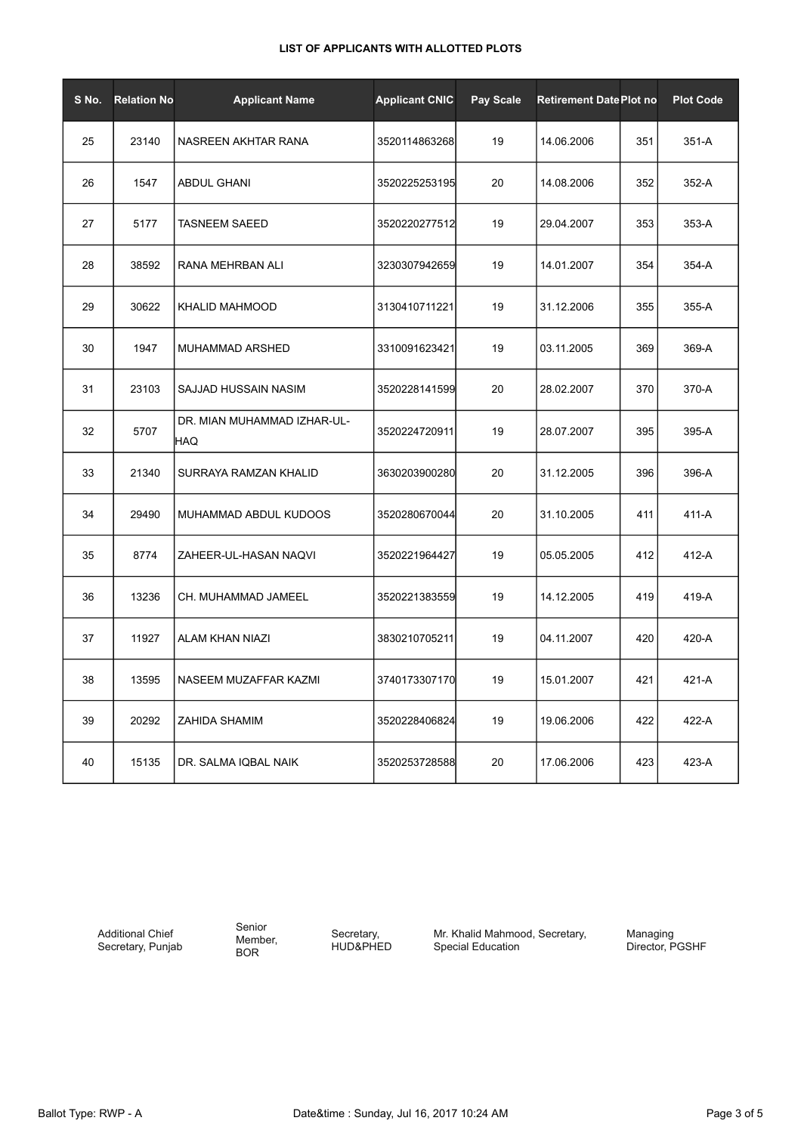| S No. | <b>Relation No</b> | <b>Applicant Name</b>              | <b>Applicant CNIC</b> | Pay Scale | <b>Retirement Date Plot no</b> |     | <b>Plot Code</b> |
|-------|--------------------|------------------------------------|-----------------------|-----------|--------------------------------|-----|------------------|
| 25    | 23140              | NASREEN AKHTAR RANA                | 3520114863268         | 19        | 14.06.2006                     | 351 | 351-A            |
| 26    | 1547               | <b>ABDUL GHANI</b>                 | 3520225253195         | 20        | 14.08.2006                     | 352 | 352-A            |
| 27    | 5177               | TASNEEM SAEED                      | 3520220277512         | 19        | 29.04.2007                     | 353 | 353-A            |
| 28    | 38592              | RANA MEHRBAN ALI                   | 3230307942659         | 19        | 14.01.2007                     | 354 | 354-A            |
| 29    | 30622              | <b>KHALID MAHMOOD</b>              | 3130410711221         | 19        | 31.12.2006                     | 355 | 355-A            |
| 30    | 1947               | MUHAMMAD ARSHED                    | 3310091623421         | 19        | 03.11.2005                     | 369 | 369-A            |
| 31    | 23103              | SAJJAD HUSSAIN NASIM               | 3520228141599         | 20        | 28.02.2007                     | 370 | 370-A            |
| 32    | 5707               | DR. MIAN MUHAMMAD IZHAR-UL-<br>HAQ | 3520224720911         | 19        | 28.07.2007                     | 395 | 395-A            |
| 33    | 21340              | SURRAYA RAMZAN KHALID              | 3630203900280         | 20        | 31.12.2005                     | 396 | 396-A            |
| 34    | 29490              | MUHAMMAD ABDUL KUDOOS              | 3520280670044         | 20        | 31.10.2005                     | 411 | 411-A            |
| 35    | 8774               | ZAHEER-UL-HASAN NAQVI              | 3520221964427         | 19        | 05.05.2005                     | 412 | 412-A            |
| 36    | 13236              | CH. MUHAMMAD JAMEEL                | 3520221383559         | 19        | 14.12.2005                     | 419 | 419-A            |
| 37    | 11927              | <b>ALAM KHAN NIAZI</b>             | 3830210705211         | 19        | 04.11.2007                     | 420 | 420-A            |
| 38    | 13595              | NASEEM MUZAFFAR KAZMI              | 3740173307170         | 19        | 15.01.2007                     | 421 | 421-A            |
| 39    | 20292              | ZAHIDA SHAMIM                      | 3520228406824         | 19        | 19.06.2006                     | 422 | 422-A            |
| 40    | 15135              | DR. SALMA IQBAL NAIK               | 3520253728588         | 20        | 17.06.2006                     | 423 | 423-A            |

Additional Chief Secretary, Punjab Senior Member, BOR

Secretary, HUD&PHED Mr. Khalid Mahmood, Secretary, Special Education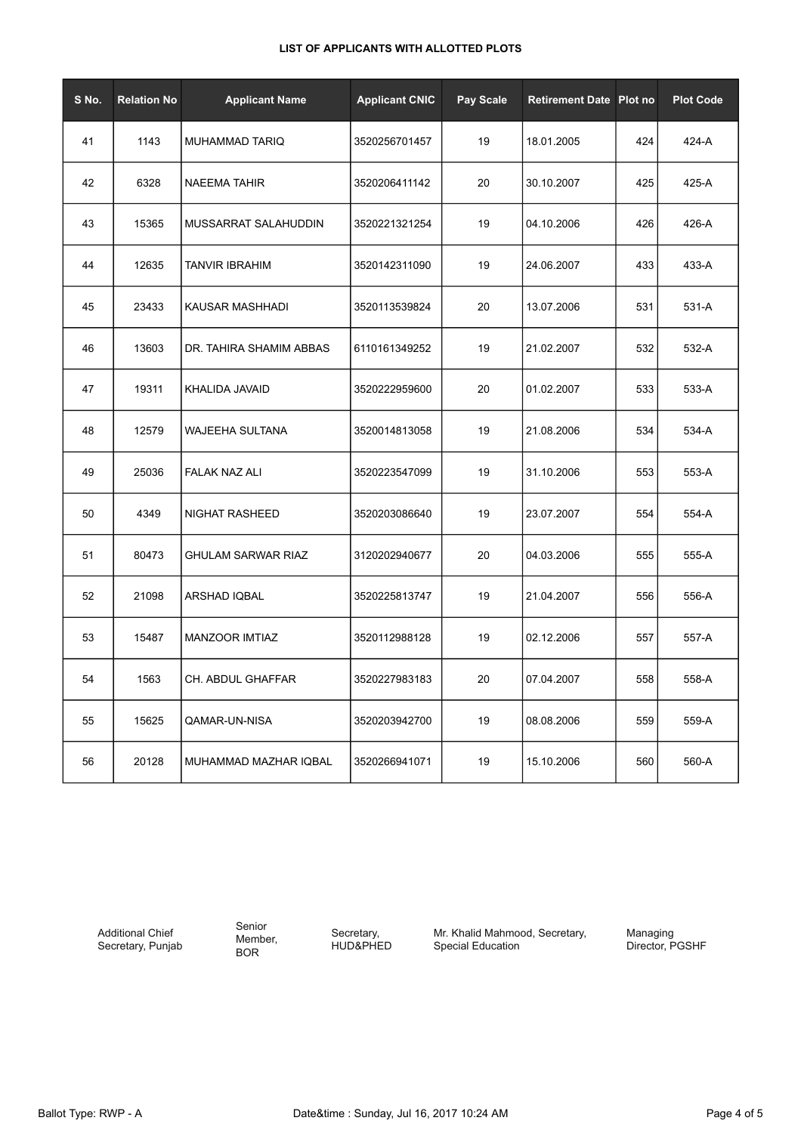| S No. | <b>Relation No</b> | <b>Applicant Name</b>     | <b>Applicant CNIC</b> | Pay Scale | <b>Retirement Date Plot no</b> |     | <b>Plot Code</b> |
|-------|--------------------|---------------------------|-----------------------|-----------|--------------------------------|-----|------------------|
| 41    | 1143               | MUHAMMAD TARIQ            | 3520256701457         | 19        | 18.01.2005                     | 424 | 424-A            |
| 42    | 6328               | NAEEMA TAHIR              | 3520206411142         | 20        | 30.10.2007                     | 425 | 425-A            |
| 43    | 15365              | MUSSARRAT SALAHUDDIN      | 3520221321254         | 19        | 04.10.2006                     | 426 | 426-A            |
| 44    | 12635              | <b>TANVIR IBRAHIM</b>     | 3520142311090         | 19        | 24.06.2007                     | 433 | 433-A            |
| 45    | 23433              | KAUSAR MASHHADI           | 3520113539824         | 20        | 13.07.2006                     | 531 | 531-A            |
| 46    | 13603              | DR. TAHIRA SHAMIM ABBAS   | 6110161349252         | 19        | 21.02.2007                     | 532 | 532-A            |
| 47    | 19311              | KHALIDA JAVAID            | 3520222959600         | 20        | 01.02.2007                     | 533 | 533-A            |
| 48    | 12579              | WAJEEHA SULTANA           | 3520014813058         | 19        | 21.08.2006                     | 534 | 534-A            |
| 49    | 25036              | <b>FALAK NAZ ALI</b>      | 3520223547099         | 19        | 31.10.2006                     | 553 | 553-A            |
| 50    | 4349               | NIGHAT RASHEED            | 3520203086640         | 19        | 23.07.2007                     | 554 | 554-A            |
| 51    | 80473              | <b>GHULAM SARWAR RIAZ</b> | 3120202940677         | 20        | 04.03.2006                     | 555 | 555-A            |
| 52    | 21098              | ARSHAD IQBAL              | 3520225813747         | 19        | 21.04.2007                     | 556 | 556-A            |
| 53    | 15487              | <b>MANZOOR IMTIAZ</b>     | 3520112988128         | 19        | 02.12.2006                     | 557 | 557-A            |
| 54    | 1563               | CH. ABDUL GHAFFAR         | 3520227983183         | 20        | 07.04.2007                     | 558 | 558-A            |
| 55    | 15625              | QAMAR-UN-NISA             | 3520203942700         | 19        | 08.08.2006                     | 559 | 559-A            |
| 56    | 20128              | MUHAMMAD MAZHAR IQBAL     | 3520266941071         | 19        | 15.10.2006                     | 560 | 560-A            |

Additional Chief Secretary, Punjab Senior Member, BOR

Secretary, HUD&PHED Mr. Khalid Mahmood, Secretary, Special Education